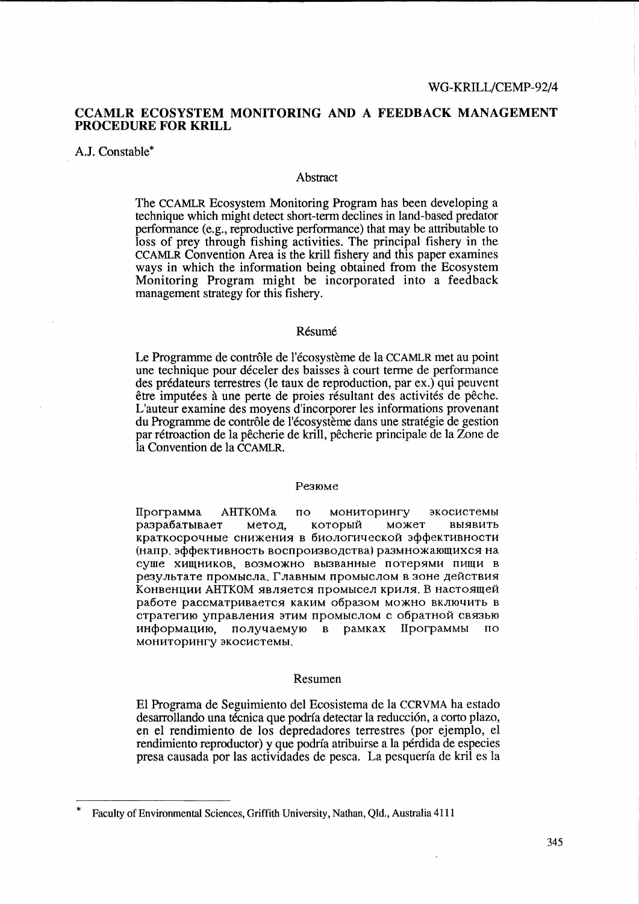# CCAMLR ECOSYSTEM MONITORING AND A FEEDBACK MANAGEMENT **PROCEDURE FOR KRILL**

## A.J. Constable\*

## Abstract

The CCAMLR Ecosystem Monitoring Program has been developing a technique which might detect short-term declines in land-based predator performance (e.g., reproductive performance) that may be attributable to loss of prey through fishing activities. The principal fishery in the CCAMLR Convention Area is the krill fishery and this paper examines ways in which the information being obtained from the Ecosystem Monitoring Program might be incorporated into a feedback management strategy for this fishery.

### Résumé

Le Programme de contrôle de l'écosystème de la CCAMLR met au point une technique pour déceler des baisses à court terme de performance des prédateurs terrestres (le taux de reproduction, par ex.) qui peuvent être imputées à une perte de proies résultant des activités de pêche. L'auteur examine des moyens d'incorporer les informations provenant du Programme de contrôle de l'écosystème dans une stratégie de gestion par rétroaction de la pêcherie de krill, pêcherie principale de la Zone de la Convention de la CCAMLR.

### Резюме

Программа AHTKOMa **МОНИТОРИНГУ**  $\overline{10}$ экосистемы разрабатывает метод. который может **RMSRUTH** краткосрочные снижения в биологической эффективности (напр. эффективность воспроизводства) размножающихся на суше хищников, возможно вызванные потерями пищи в результате промысла. Главным промыслом в зоне действия Конвенции АНТКОМ является промысел криля. В настоящей работе рассматривается каким образом можно включить в стратегию управления этим промыслом с обратной связью информацию. получаемую в рамках Программы  $\overline{10}$ мониторингу экосистемы.

### Resumen

El Programa de Seguimiento del Ecosistema de la CCRVMA ha estado desarrollando una técnica que podría detectar la reducción, a corto plazo, en el rendimiento de los depredadores terrestres (por ejemplo, el rendimiento reproductor) y que podría atribuirse a la pérdida de especies presa causada por las actividades de pesca. La pesquería de kril es la

Faculty of Environmental Sciences, Griffith University, Nathan, Qld., Australia 4111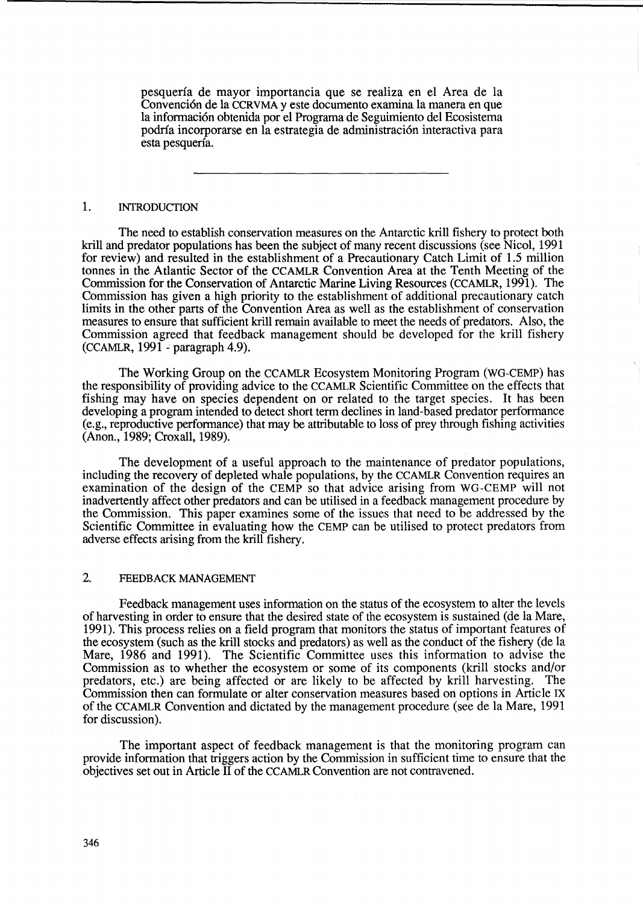pesquerfa de mayor importancia que se realiza en el Area de la Convención de la CCRVMA y este documento examina la manera en que la informaci6n obtenida por el Programa de Seguimiento del Ecosistema podrfa incorporarse en la estrategia de administraci6n interactiva para esta pesquerfa.

# 1. INTRODUCTION

The need to establish conservation measures on the Antarctic krill fishery to protect both krill and predator populations has been the subject of many recent discussions (see Nicol, 1991) for review) and resulted in the establishment of a Precautionary Catch Limit of 1.5 million tonnes in the Atlantic Sector of the CCAMLR Convention Area at the Tenth Meeting of the Commission for the Conservation of Antarctic Marine Living Resources (CCAMLR, 1991). The Commission has given a high priority to the establishment of additional precautionary catch limits in the other parts of the Convention Area as well as the establishment of conservation measures to ensure that sufficient krill remain available to meet the needs of predators. Also, the Commission agreed that feedback management should be developed for the krill fishery (CCAMLR, 1991 - paragraph 4.9).

The Working Group on the CCAMLR Ecosystem Monitoring Program (WG-CEMP) has the responsibility of providing advice to the CCAMLR Scientific Committee on the effects that fishing may have on species dependent on or related to the target species. It has been developing a program intended to detect short term declines in land-based predator performance (e.g., reproductive performance) that may be attributable to loss of prey through fishing activities (Anon., 1989; Croxa1l, 1989).

The development of a useful approach to the maintenance of predator populations, including the recovery of depleted whale populations, by the CCAMLR Convention requires an examination of the design of the CEMP so that advice arising from WG-CEMP will not inadvertently affect other predators and can be utilised in a feedback management procedure by the Commission. This paper examines some of the issues that need to be addressed by the Scientific Committee in evaluating how the CEMP can be utilised to protect predators from adverse effects arising from the krill fishery.

## 2. FEEDBACK MANAGEMENT

Feedback management uses information on the status of the ecosystem to alter the levels of harvesting in order to ensure that the desired state of the ecosystem is sustained (de la Mare, 1991). This process relies on a field program that monitors the status of important features of the ecosystem (such as the krill stocks and predators) as well as the conduct of the fishery (de la Mare, 1986 and 1991). The Scientific Committee uses this information to advise the Commission as to whether the ecosystem or some of its components (krill stocks and/or predators, etc.) are being affected or are likely to be affected by krill harvesting. The Commission then can formulate or alter conservation measures based on options in Article IX of the CCAMLR Convention and dictated by the management procedure (see de la Mare, 1991 for discussion).

The important aspect of feedback management is that the monitoring program can provide information that triggers action by the Commission in sufficient time to ensure that the objectives set out in Article IT of the CCAMLR Convention are not contravened.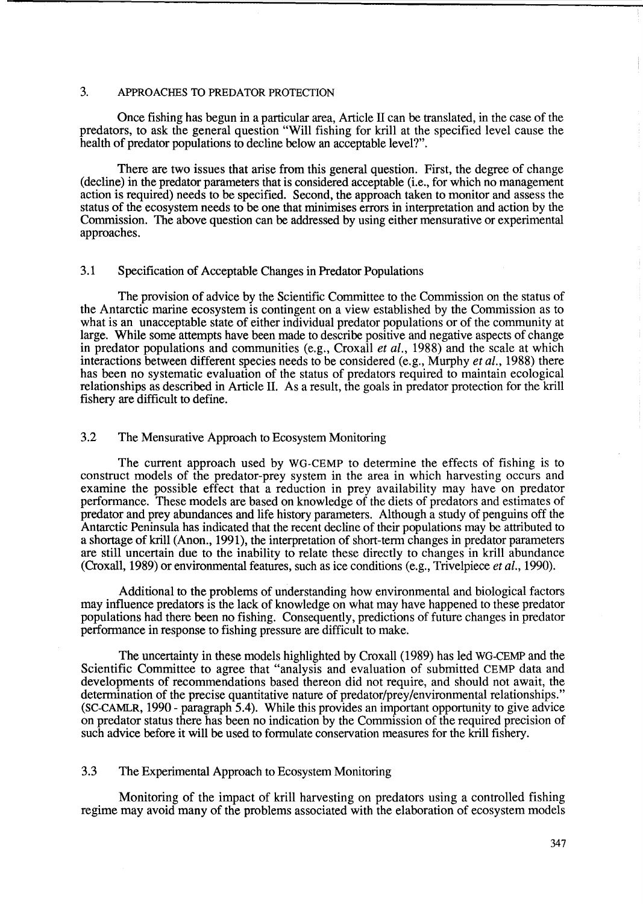# 3. APPROACHES TO PREDATOR PROTECTION

Once fishing has begun in a particular area, Article IT can be translated, in the case of the predators, to ask the general question "Will fishing for kriU at the specified level cause the health of predator populations to decline below an acceptable level?".

There are two issues that arise from this general question. First, the degree of change (decline) in the predator parameters that is considered acceptable (i.e., for which no management action is required) needs to be specified. Second, the approach taken to monitor and assess the status of the ecosystem needs to be one that minimises errors in interpretation and action by the Commission. The above question can be addressed by using either mensurative or experimental approaches.

# 3.1 Specification of Acceptable Changes in Predator Populations

The provision of advice by the Scientific Committee to the Commission on the status of the Antarctic marine ecosystem is contingent on a view established by the Commission as to what is an unacceptable state of either individual predator populations or of the community at large. While some attempts have been made to describe positive and negative aspects of change in predator populations and communities (e.g., Croxall *et al.,* 1988) and the scale at which interactions between different species needs to be considered (e.g., Murphy *et al.,* 1988) there has been no systematic evaluation of the status of predators required to maintain ecological relationships as described in Article 11. As a result, the goals in predator protection for the kriU fishery are difficult to define.

## 3.2 The Mensurative Approach to Ecosystem Monitoring

The current approach used by WG-CEMP to determine the effects of fishing is to construct models of the predator-prey system in the area in which harvesting occurs and examine the possible effect that a reduction in prey availability may have on predator performance. These models are based on knowledge of the diets of predators and estimates of predator and prey abundances and life history parameters. Although a study of penguins off the Antarctic Peninsula has indicated that the recent decline of their populations may be attributed to a shortage of krill (Anon., 1991), the interpretation of short-term changes in predator parameters are still uncertain due to the inability to relate these directly to changes in krill abundance (Croxall, 1989) or environmental features, such as ice conditions (e.g., Trivelpiece *et al., 1990).* 

Additional to the problems of understanding how environmental and biological factors may influence predators is the lack of knowledge on what may have happened to these predator populations had there been no fishing. Consequently, predictions of future changes in predator performance in response to fishing pressure are difficult to make.

The uncertainty in these models highlighted by Croxall (1989) has led WG-CEMP and the Scientific Committee to agree that "analysis and evaluation of submitted CEMP data and developments of recommendations based thereon did not require, and should not await, the determination of the precise quantitative nature of predator/prey/environmental relationships." (SC-CAMLR, 1990 - paragraph 5.4). While this provides an important opportunity to give advice on predator status there has been no indication by the Commission of the required precision of such advice before it will be used to formulate conservation measures for the krill fishery.

# 3.3 The Experimental Approach to Ecosystem Monitoring

Monitoring of the impact of krill harvesting on predators using a controlled fishing regime may avoid many of the problems associated with the elaboration of ecosystem models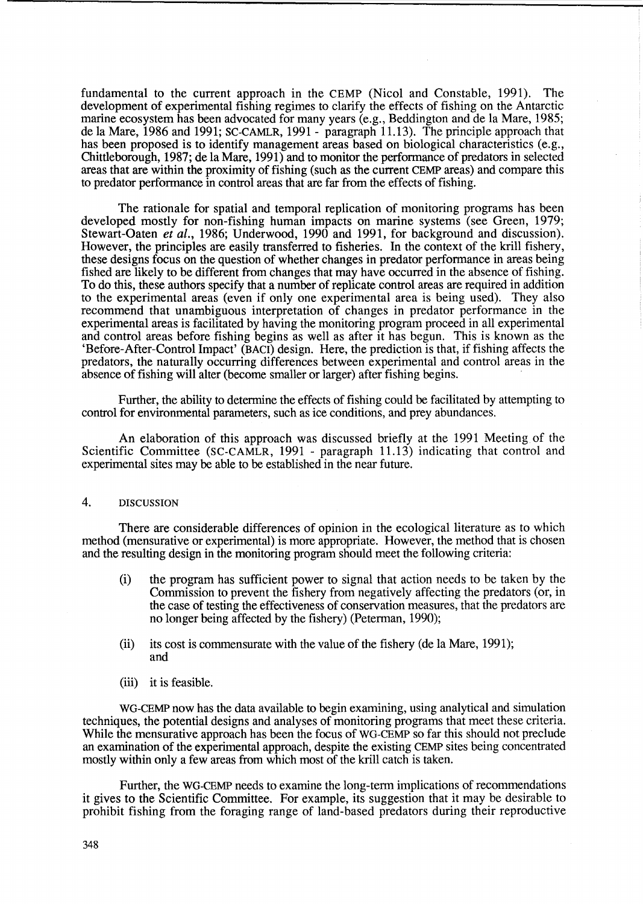fundamental to the current approach in the CEMP (Nicol and Constable, 1991). The development of experimental fishing regimes to clarify the effects of fishing on the Antarctic marine ecosystem has been advocated for many years (e.g., Beddington and de la Mare, 1985; de la Mare, 1986 and 1991; SC-CAMLR, 1991- paragraph 11.13). The principle approach that has been proposed is to identify management areas based on biological characteristics (e.g., Chittleborough, 1987; de la Mare, 1991) and to monitor the performance of predators in selected areas that are within the proximity of fishing (such as the current CEMP areas) and compare this to predator performance in control areas that are far from the effects of fishing.

The rationale for spatial and temporal replication of monitoring programs has been developed mostly for non-fishing human impacts on marine systems (see Green, 1979; Stewart-Oaten *et al.,* 1986; Underwood, 1990 and 1991, for background and discussion). However, the principles are easily transferred to fisheries. In the context of the krill fishery, these designs focus on the question of whether changes in predator performance in areas being fished are likely to be different from changes that may have occurred in the absence of fishing. To do this, these authors specify that a number of replicate control areas are required in addition to the experimental areas (even if only one experimental area is being used). They also recommend that unambiguous interpretation of changes in predator performance in the experimental areas is facilitated by having the monitoring program proceed in all experimental and control areas before fishing begins as well as after it has begun. This is known as the 'Before-After-Control Impact' (BACI) design. Here, the prediction is that, if fishing affects the predators, the naturally occurring differences between experimental and control areas in the absence of fishing will alter (become smaller or larger) after fishing begins.

Further, the ability to determine the effects of fishing could be facilitated by attempting to control for environmental parameters, such as ice conditions, and prey abundances.

An elaboration of this approach was discussed briefly at the 1991 Meeting of the Scientific Committee (SC-CAMLR, 1991 - paragraph 11.13) indicating that control and experimental sites may be able to be established in the near future.

# 4. DISCUSSION

There are considerable differences of opinion in the ecological literature as to which method (mensurative or experimental) is more appropriate. However, the method that is chosen and the resulting design in the monitoring program should meet the following criteria:

- (i) the program has sufficient power to signal that action needs to be taken by the Commission to prevent the fishery from negatively affecting the predators (or, in the case of testing the effectiveness of conservation measures, that the predators are no longer being affected by the fishery) (Peterman, 1990);
- (ii) its cost is commensurate with the value of the fishery (de la Mare, 1991); and
- (iii) it is feasible.

WG-CEMP now has the data available to begin examining, using analytical and simulation techniques, the potential designs and analyses of monitoring programs that meet these criteria. While the mensurative approach has been the focus of WG-CEMP so far this should not preclude an examination of the experimental approach, despite the existing CEMP sites being concentrated mostly within only a few areas from which most of the krill catch is taken.

Further, the WG-CEMP needs to examine the long-term implications of recommendations it gives to the Scientific Committee. For example, its suggestion that it may be desirable to prohibit fishing from the foraging range of land-based predators during their reproductive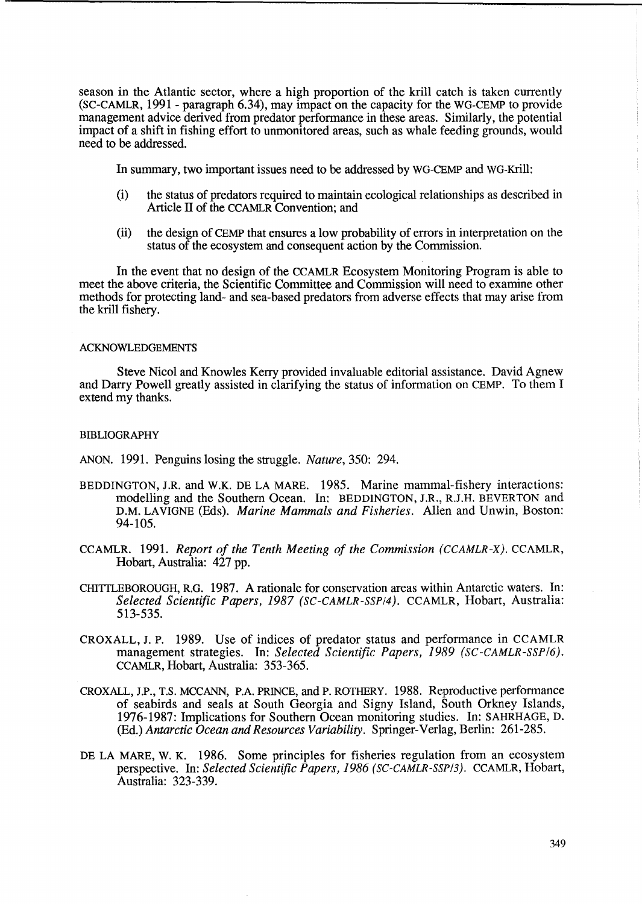season in the Atlantic sector, where a high proportion of the krill catch is taken currently (SC-CAMLR, 1991 - paragraph 6.34), may impact on the capacity for the WG-CEMP to provide management advice derived from predator performance in these areas. Similarly, the potential impact of a shift in fishing effort to unmonitored areas, such as whale feeding grounds, would need to be addressed.

In summary, two important issues need to be addressed by WG-CEMP and WG-Krill:

- (i) the status of predators required to maintain ecological relationships as described in Article IT of the CCAMLR Convention; and
- (ii) the design of CEMP that ensures a low probability of errors in interpretation on the status of the ecosystem and consequent action by the Commission.

In the event that no design of the CCAMLR Ecosystem Monitoring Program is able to meet the above criteria, the Scientific Committee and Commission will need to examine other methods for protecting land- and sea-based predators from adverse effects that may arise from the krill fishery.

### ACKNOWLEDGEMENTS

Steve Nicol and Knowles Kerry provided invaluable editorial assistance. David Agnew and Darry Powell greatly assisted in clarifying the status of information on CEMP. To them I extend my thanks.

### **BIBLIOGRAPHY**

ANON. 1991. Penguins losing the struggle. *Nature,* 350: 294.

- BEDDINGTON, J.R. and W.K. DE LA MARE. 1985. Marine mammal-fishery interactions: modelling and the Southern Ocean. In: BEDDINGTON, J.R., R.J.H. BEVERTON and D.M. LAVIGNE (Eds). *Marine Mammals and Fisheries.* Allen and Unwin, Boston: 94-105.
- CCAMLR. 1991. *Report of the Tenth Meeting of the Commission (CCAMLR-X).* CCAMLR, Hobart, Australia: 427 pp.
- CHITTLEBOROUGH, RG. 1987. A rationale for conservation areas within Antarctic waters. In: *Selected Scientific Papers,* 1987 *(SC-CAMLR-SSPI4).* CCAMLR, Hobart, Australia: 513-535.
- CROXALL, J. P. 1989. Use of indices of predator status and performance in CCAMLR management strategies. In: *Selected Scientific Papers,* 1989 *(SC-CAMLR-SSP/6).*  CCAMLR, Hobart, Australia: 353-365.
- CROXALL, J.P., T.S. MCCANN, P.A. PRINCE, and P. ROTHERY. 1988. Reproductive performance of seabirds and seals at South Georgia and Signy Island, South Orkney Islands, 1976-1987: Implications for Southern Ocean monitoring studies. In: SAHRHAGE, D. (Ed.) *Antarctic Ocean and Resources Variability.* Springer-Verlag, Berlin: 261-285.
- DE LA MARE, W. K. 1986. Some principles for fisheries regulation from an ecosystem perspective. In: *Selected Scientific Papers,* 1986 *(SC-CAMLR-SSP/3).* CCAMLR, Hobart, Australia: 323-339.